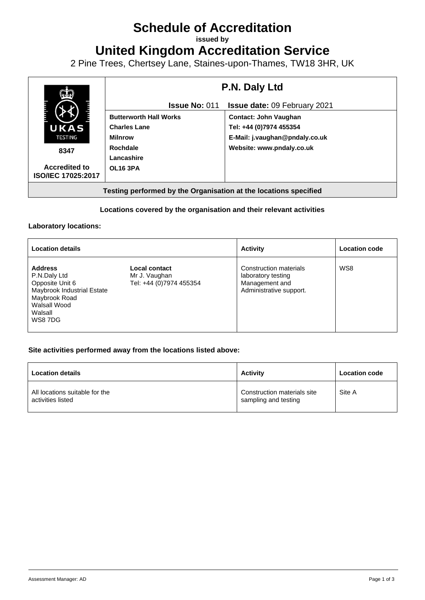# **Schedule of Accreditation**

**issued by**

**United Kingdom Accreditation Service**

2 Pine Trees, Chertsey Lane, Staines-upon-Thames, TW18 3HR, UK



## **Locations covered by the organisation and their relevant activities**

#### **Laboratory locations:**

| <b>Location details</b>                                                                                                               |                                                           | <b>Activity</b>                                                                           | <b>Location code</b> |
|---------------------------------------------------------------------------------------------------------------------------------------|-----------------------------------------------------------|-------------------------------------------------------------------------------------------|----------------------|
| <b>Address</b><br>P.N.Daly Ltd<br>Opposite Unit 6<br>Maybrook Industrial Estate<br>Maybrook Road<br>Walsall Wood<br>Walsall<br>WS87DG | Local contact<br>Mr J. Vaughan<br>Tel: +44 (0)7974 455354 | Construction materials<br>laboratory testing<br>Management and<br>Administrative support. | WS8                  |

### **Site activities performed away from the locations listed above:**

| <b>Location details</b>                             | <b>Activity</b>                                     | <b>Location code</b> |
|-----------------------------------------------------|-----------------------------------------------------|----------------------|
| All locations suitable for the<br>activities listed | Construction materials site<br>sampling and testing | Site A               |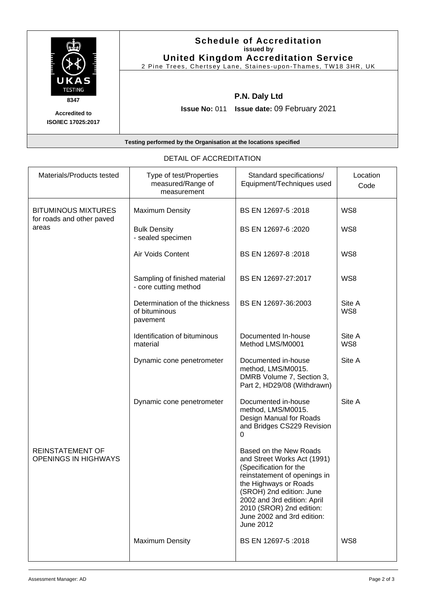| UKAS<br><b>TESTING</b><br>8347<br><b>Accredited to</b><br><b>ISO/IEC 17025:2017</b> | <b>Schedule of Accreditation</b><br>issued by<br><b>United Kingdom Accreditation Service</b><br>2 Pine Trees, Chertsey Lane, Staines-upon-Thames, TW18 3HR, UK |  |
|-------------------------------------------------------------------------------------|----------------------------------------------------------------------------------------------------------------------------------------------------------------|--|
|                                                                                     | P.N. Daly Ltd<br><b>Issue No: 011 Issue date: 09 February 2021</b>                                                                                             |  |

| Materials/Products tested                               | Type of test/Properties<br>measured/Range of<br>measurement | Standard specifications/<br>Equipment/Techniques used                                                                                                                                                                                                                      | Location<br>Code |
|---------------------------------------------------------|-------------------------------------------------------------|----------------------------------------------------------------------------------------------------------------------------------------------------------------------------------------------------------------------------------------------------------------------------|------------------|
| <b>BITUMINOUS MIXTURES</b><br>for roads and other paved | <b>Maximum Density</b>                                      | BS EN 12697-5:2018                                                                                                                                                                                                                                                         | WS8              |
| areas                                                   | <b>Bulk Density</b><br>- sealed specimen                    | BS EN 12697-6:2020                                                                                                                                                                                                                                                         | WS8              |
|                                                         | Air Voids Content                                           | BS EN 12697-8:2018                                                                                                                                                                                                                                                         | WS8              |
|                                                         | Sampling of finished material<br>- core cutting method      | BS EN 12697-27:2017                                                                                                                                                                                                                                                        | WS8              |
|                                                         | Determination of the thickness<br>of bituminous<br>pavement | BS EN 12697-36:2003                                                                                                                                                                                                                                                        | Site A<br>WS8    |
|                                                         | Identification of bituminous<br>material                    | Documented In-house<br>Method LMS/M0001                                                                                                                                                                                                                                    | Site A<br>WS8    |
|                                                         | Dynamic cone penetrometer                                   | Documented in-house<br>method, LMS/M0015.<br>DMRB Volume 7, Section 3,<br>Part 2, HD29/08 (Withdrawn)                                                                                                                                                                      | Site A           |
|                                                         | Dynamic cone penetrometer                                   | Documented in-house<br>method, LMS/M0015.<br>Design Manual for Roads<br>and Bridges CS229 Revision<br>0                                                                                                                                                                    | Site A           |
| REINSTATEMENT OF<br>OPENINGS IN HIGHWAYS                |                                                             | Based on the New Roads<br>and Street Works Act (1991)<br>(Specification for the<br>reinstatement of openings in<br>the Highways or Roads<br>(SROH) 2nd edition: June<br>2002 and 3rd edition: April<br>2010 (SROR) 2nd edition:<br>June 2002 and 3rd edition:<br>June 2012 |                  |
|                                                         | <b>Maximum Density</b>                                      | BS EN 12697-5:2018                                                                                                                                                                                                                                                         | WS8              |

# DETAIL OF ACCREDITATION

**Testing performed by the Organisation at the locations specified**

 $\mathbf{I}$